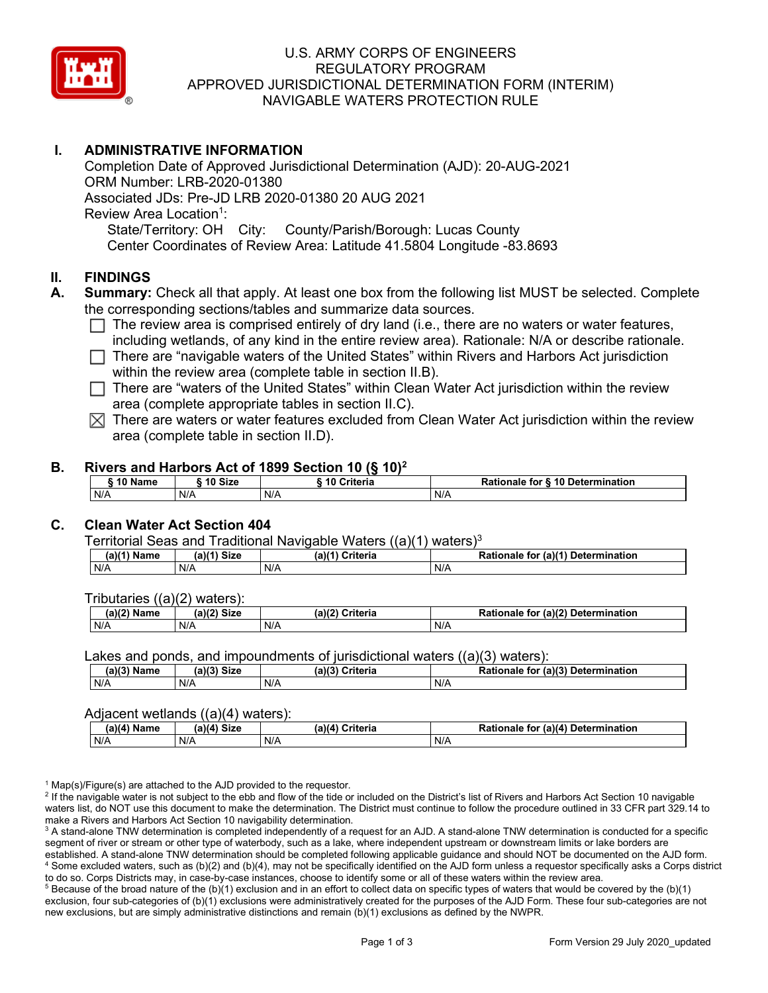

#### U.S. ARMY CORPS OF ENGINEERS REGULATORY PROGRAM APPROVED JURISDICTIONAL DETERMINATION FORM (INTERIM) NAVIGABLE WATERS PROTECTION RULE

## **I. ADMINISTRATIVE INFORMATION**

Completion Date of Approved Jurisdictional Determination (AJD): 20-AUG-2021 ORM Number: LRB-2020-01380 Associated JDs: Pre-JD LRB 2020-01380 20 AUG 2021 Review Area Location<sup>1</sup>: State/Territory: OH City: County/Parish/Borough: Lucas County Center Coordinates of Review Area: Latitude 41.5804 Longitude -83.8693

#### **II. FINDINGS**

- **A. Summary:** Check all that apply. At least one box from the following list MUST be selected. Complete the corresponding sections/tables and summarize data sources.
	- $\Box$  The review area is comprised entirely of dry land (i.e., there are no waters or water features, including wetlands, of any kind in the entire review area). Rationale: N/A or describe rationale.
	- $\Box$  There are "navigable waters of the United States" within Rivers and Harbors Act jurisdiction within the review area (complete table in section II.B).
	- $\Box$  There are "waters of the United States" within Clean Water Act jurisdiction within the review area (complete appropriate tables in section II.C).
	- $\boxtimes$  There are waters or water features excluded from Clean Water Act jurisdiction within the review area (complete table in section II.D).

#### **B. Rivers and Harbors Act of 1899 Section 10 (§ 10)2**

| 10 Name | ົ <sup>1</sup> ∩ Size | .<br>Criteria<br>10 | <b>6 10 Determination</b><br>Rationale<br>for |
|---------|-----------------------|---------------------|-----------------------------------------------|
| N/A     | N/A                   | N/A                 | N/A                                           |

## **C. Clean Water Act Section 404**

Territorial Seas and Traditional Navigable Waters  $((a)(1)$  waters)<sup>3</sup>

| Nam<br>'am⊾ | (a)(4)<br><b>Size</b> | Criteria<br>(a) | $\alpha$ (a)( <sup>4)</sup><br>Determination<br>tor<br>onaie<br>kativ |
|-------------|-----------------------|-----------------|-----------------------------------------------------------------------|
| N/A         | N/A                   | N/A             | N/A                                                                   |

Tributaries ((a)(2) waters):

| н   | $\sim$<br>$\sim$ Cime<br>JILE | 21/2<br><br>пе | (2)<br><b>Determination</b><br>TOI<br>naie |
|-----|-------------------------------|----------------|--------------------------------------------|
| N/A | N/A                           | N/A            | N/A                                        |

Lakes and ponds, and impoundments of jurisdictional waters  $((a)(3)$  waters):

| (a)(3) Name | (a)(3) Size | (a)(?') | Criteria | <b>Rationale</b><br>for | $\mathcal{L}$ (a)(?)<br>Determination |
|-------------|-------------|---------|----------|-------------------------|---------------------------------------|
| N/A         | N/A         | N/A     |          | N/A                     |                                       |

#### Adjacent wetlands ((a)(4) waters):

| .<br>.        |             |                 |                                    |  |
|---------------|-------------|-----------------|------------------------------------|--|
| $(a)(4)$ Name | (a)(4) Size | (a)(4) Criteria | Rationale for (a)(4) Determination |  |
| N/A           | N/f         | N/A             | N/A                                |  |

 $1$  Map(s)/Figure(s) are attached to the AJD provided to the requestor.

<sup>2</sup> If the navigable water is not subject to the ebb and flow of the tide or included on the District's list of Rivers and Harbors Act Section 10 navigable waters list, do NOT use this document to make the determination. The District must continue to follow the procedure outlined in 33 CFR part 329.14 to make a Rivers and Harbors Act Section 10 navigability determination.

<sup>3</sup> A stand-alone TNW determination is completed independently of a request for an AJD. A stand-alone TNW determination is conducted for a specific segment of river or stream or other type of waterbody, such as a lake, where independent upstream or downstream limits or lake borders are established. A stand-alone TNW determination should be completed following applicable guidance and should NOT be documented on the AJD form. <sup>4</sup> Some excluded waters, such as (b)(2) and (b)(4), may not be specifically identified on the AJD form unless a requestor specifically asks a Corps district to do so. Corps Districts may, in case-by-case instances, choose to identify some or all of these waters within the review area.

 $5$  Because of the broad nature of the (b)(1) exclusion and in an effort to collect data on specific types of waters that would be covered by the (b)(1) exclusion, four sub-categories of (b)(1) exclusions were administratively created for the purposes of the AJD Form. These four sub-categories are not new exclusions, but are simply administrative distinctions and remain (b)(1) exclusions as defined by the NWPR.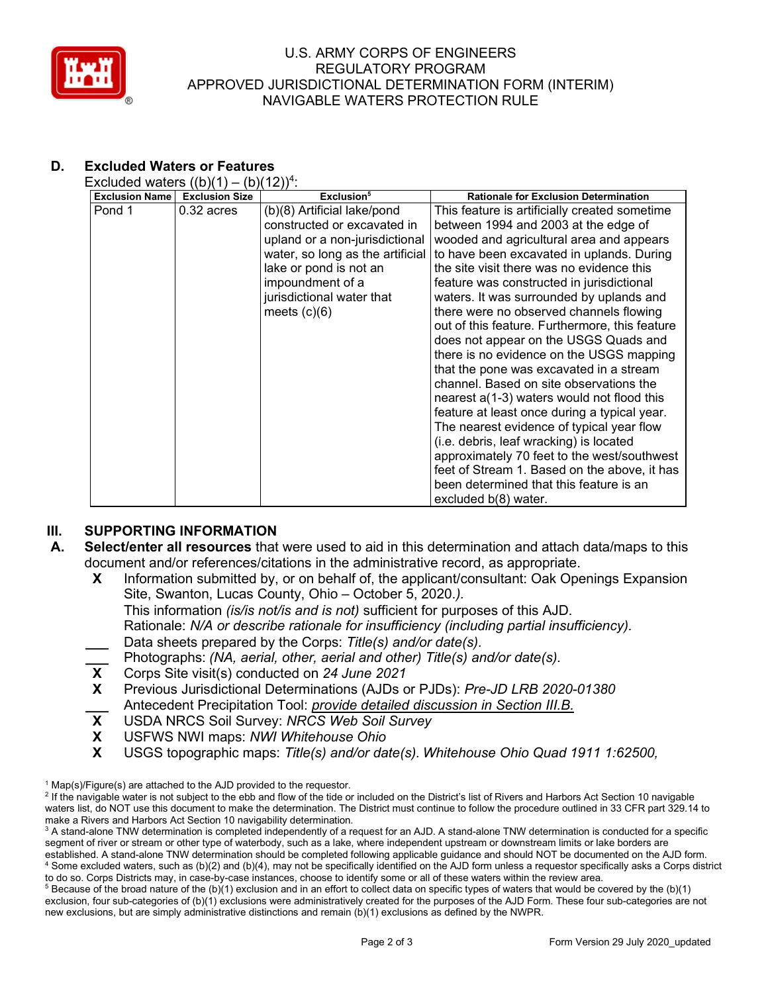

#### U.S. ARMY CORPS OF ENGINEERS REGULATORY PROGRAM APPROVED JURISDICTIONAL DETERMINATION FORM (INTERIM) NAVIGABLE WATERS PROTECTION RULE

# **D. Excluded Waters or Features**

Excluded waters  $((b)(1) - (b)(12))^4$ :

| <b>Exclusion Name</b> | <b>Exclusion Size</b> | Exclusion <sup>5</sup>           | <b>Rationale for Exclusion Determination</b>   |
|-----------------------|-----------------------|----------------------------------|------------------------------------------------|
| Pond 1                | $0.32$ acres          | (b)(8) Artificial lake/pond      | This feature is artificially created sometime  |
|                       |                       | constructed or excavated in      | between 1994 and 2003 at the edge of           |
|                       |                       | upland or a non-jurisdictional   | wooded and agricultural area and appears       |
|                       |                       | water, so long as the artificial | to have been excavated in uplands. During      |
|                       |                       | lake or pond is not an           | the site visit there was no evidence this      |
|                       |                       | impoundment of a                 | feature was constructed in jurisdictional      |
|                       |                       | jurisdictional water that        | waters. It was surrounded by uplands and       |
|                       |                       | meets $(c)(6)$                   | there were no observed channels flowing        |
|                       |                       |                                  | out of this feature. Furthermore, this feature |
|                       |                       |                                  | does not appear on the USGS Quads and          |
|                       |                       |                                  | there is no evidence on the USGS mapping       |
|                       |                       |                                  | that the pone was excavated in a stream        |
|                       |                       |                                  | channel. Based on site observations the        |
|                       |                       |                                  | nearest a(1-3) waters would not flood this     |
|                       |                       |                                  | feature at least once during a typical year.   |
|                       |                       |                                  | The nearest evidence of typical year flow      |
|                       |                       |                                  | (i.e. debris, leaf wracking) is located        |
|                       |                       |                                  | approximately 70 feet to the west/southwest    |
|                       |                       |                                  | feet of Stream 1. Based on the above, it has   |
|                       |                       |                                  | been determined that this feature is an        |
|                       |                       |                                  | excluded b(8) water.                           |

## **III. SUPPORTING INFORMATION**

- **A. Select/enter all resources** that were used to aid in this determination and attach data/maps to this document and/or references/citations in the administrative record, as appropriate.
	- **X** Information submitted by, or on behalf of, the applicant/consultant: Oak Openings Expansion Site, Swanton, Lucas County, Ohio – October 5, 2020.*).*
		- This information *(is/is not/is and is not)* sufficient for purposes of this AJD.
		- Rationale: *N/A or describe rationale for insufficiency (including partial insufficiency).*
	- **\_\_\_** Data sheets prepared by the Corps: *Title(s) and/or date(s).*
	- **\_\_\_** Photographs: *(NA, aerial, other, aerial and other) Title(s) and/or date(s).*
	- **X** Corps Site visit(s) conducted on *24 June 2021*
	- **X** Previous Jurisdictional Determinations (AJDs or PJDs): *Pre-JD LRB 2020-01380* **\_\_\_** Antecedent Precipitation Tool: *provide detailed discussion in Section III.B.*
	- **X** USDA NRCS Soil Survey: *NRCS Web Soil Survey*
	- **X** USFWS NWI maps: *NWI Whitehouse Ohio*
	- **X** USGS topographic maps: *Title(s) and/or date(s). Whitehouse Ohio Quad 1911 1:62500,*

 $1$  Map(s)/Figure(s) are attached to the AJD provided to the requestor.

<sup>&</sup>lt;sup>2</sup> If the navigable water is not subject to the ebb and flow of the tide or included on the District's list of Rivers and Harbors Act Section 10 navigable waters list, do NOT use this document to make the determination. The District must continue to follow the procedure outlined in 33 CFR part 329.14 to make a Rivers and Harbors Act Section 10 navigability determination.

<sup>&</sup>lt;sup>3</sup> A stand-alone TNW determination is completed independently of a request for an AJD. A stand-alone TNW determination is conducted for a specific segment of river or stream or other type of waterbody, such as a lake, where independent upstream or downstream limits or lake borders are established. A stand-alone TNW determination should be completed following applicable guidance and should NOT be documented on the AJD form. <sup>4</sup> Some excluded waters, such as (b)(2) and (b)(4), may not be specifically identified on the AJD form unless a requestor specifically asks a Corps district to do so. Corps Districts may, in case-by-case instances, choose to identify some or all of these waters within the review area.

 $5$  Because of the broad nature of the (b)(1) exclusion and in an effort to collect data on specific types of waters that would be covered by the (b)(1) exclusion, four sub-categories of (b)(1) exclusions were administratively created for the purposes of the AJD Form. These four sub-categories are not new exclusions, but are simply administrative distinctions and remain (b)(1) exclusions as defined by the NWPR.